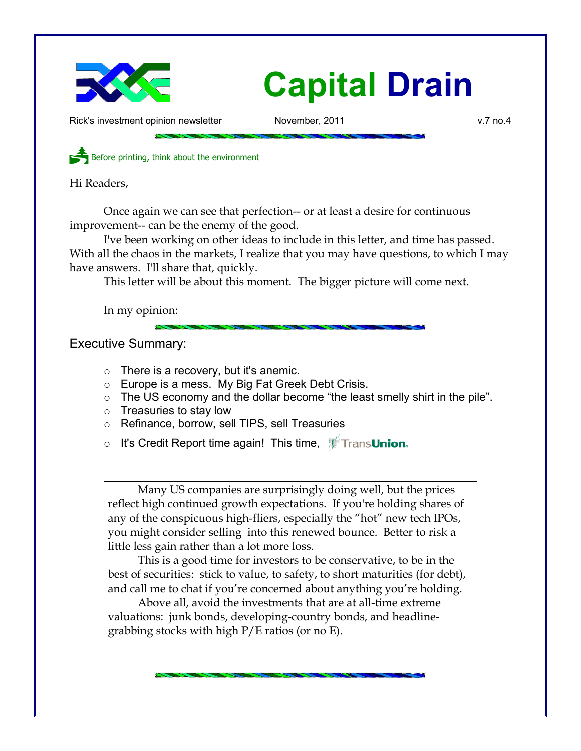

Rick's investment opinion newsletter November, 2011 and November, 2011

Before printing, think about the environment

Hi Readers,

Once again we can see that perfection-- or at least a desire for continuous improvement-- can be the enemy of the good.

I've been working on other ideas to include in this letter, and time has passed. With all the chaos in the markets, I realize that you may have questions, to which I may have answers. I'll share that, quickly.

This letter will be about this moment. The bigger picture will come next.

In my opinion:

Executive Summary:

- $\circ$  There is a recovery, but it's anemic.
- Europe is a mess. My Big Fat Greek Debt Crisis.
- The US economy and the dollar become "the least smelly shirt in the pile".
- $\circ$  Treasuries to stay low
- Refinance, borrow, sell TIPS, sell Treasuries
- o It's Credit Report time again! This time, **TransUnion.**

Many US companies are surprisingly doing well, but the prices reflect high continued growth expectations. If you're holding shares of any of the conspicuous high-fliers, especially the "hot" new tech IPOs, you might consider selling into this renewed bounce. Better to risk a little less gain rather than a lot more loss.

This is a good time for investors to be conservative, to be in the best of securities: stick to value, to safety, to short maturities (for debt), and call me to chat if you're concerned about anything you're holding.

Above all, avoid the investments that are at all-time extreme valuations: junk bonds, developing-country bonds, and headlinegrabbing stocks with high P/E ratios (or no E).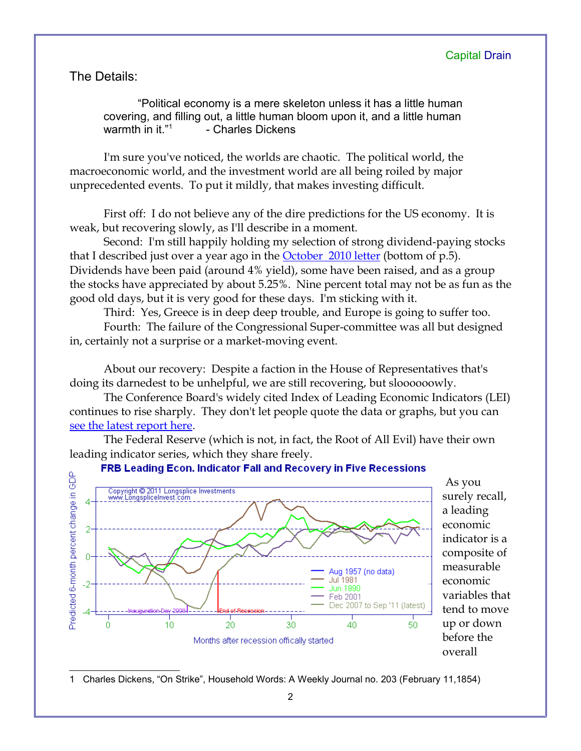The Details:

"Political economy is a mere skeleton unless it has a little human covering, and filling out, a little human bloom upon it, and a little human warmth in it."<sup>[1](#page-1-0)</sup> - Charles Dickens

I'm sure you've noticed, the worlds are chaotic. The political world, the macroeconomic world, and the investment world are all being roiled by major unprecedented events. To put it mildly, that makes investing difficult.

First off: I do not believe any of the dire predictions for the US economy. It is weak, but recovering slowly, as I'll describe in a moment.

Second: I'm still happily holding my selection of strong dividend-paying stocks that I described just over a year ago in the **October** 2010 letter (bottom of p.5). Dividends have been paid (around 4% yield), some have been raised, and as a group the stocks have appreciated by about 5.25%. Nine percent total may not be as fun as the good old days, but it is very good for these days. I'm sticking with it.

Third: Yes, Greece is in deep deep trouble, and Europe is going to suffer too.

Fourth: The failure of the Congressional Super-committee was all but designed in, certainly not a surprise or a market-moving event.

About our recovery: Despite a faction in the House of Representatives that's doing its darnedest to be unhelpful, we are still recovering, but sloooooowly.

The Conference Board's widely cited Index of Leading Economic Indicators (LEI) continues to rise sharply. They don't let people quote the data or graphs, but you ca[n](http://www.conference-board.org/pdf_free/press/PressPDF_4341_1321607143.pdf) [see the latest report here.](http://www.conference-board.org/pdf_free/press/PressPDF_4341_1321607143.pdf)

The Federal Reserve (which is not, in fact, the Root of All Evil) have their own leading indicator series, which they share freely.

FRB Leading Econ. Indicator Fall and Recovery in Five Recessions



surely recall, a leading economic indicator is a composite of measurable economic variables that tend to move

As you

up or down before the overall

<span id="page-1-0"></span>1 Charles Dickens, "On Strike", Household Words: A Weekly Journal no. 203 (February 11,1854)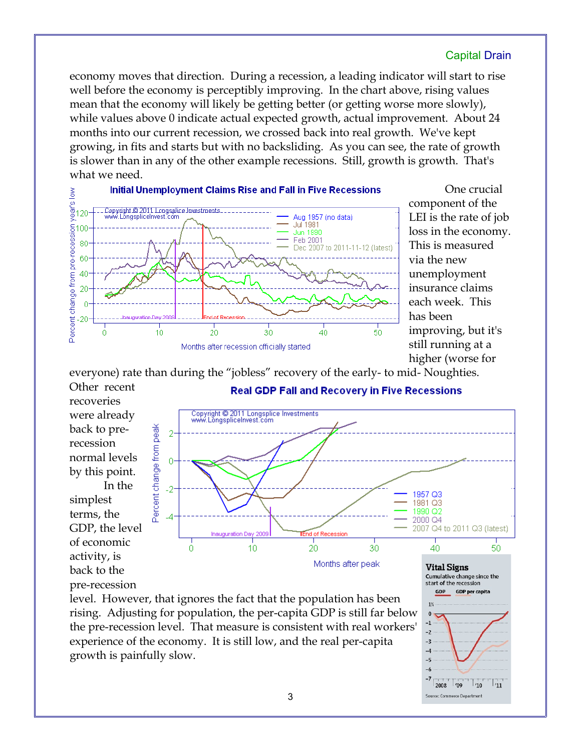economy moves that direction. During a recession, a leading indicator will start to rise well before the economy is perceptibly improving. In the chart above, rising values mean that the economy will likely be getting better (or getting worse more slowly), while values above 0 indicate actual expected growth, actual improvement. About 24 months into our current recession, we crossed back into real growth. We've kept growing, in fits and starts but with no backsliding. As you can see, the rate of growth is slower than in any of the other example recessions. Still, growth is growth. That's what we need.



One crucial component of the LEI is the rate of job loss in the economy. This is measured via the new unemployment insurance claims each week. This has been improving, but it's still running at a higher (worse for

everyone) rate than during the "jobless" recovery of the early- to mid- Noughties. Other recent **Real GDP Fall and Recovery in Five Recessions** 

recoveries were already back to prerecession normal levels by this point. In the simplest terms, the GDP, the level of economic activity, is back to the pre-recession



20

30

Months after peak

level. However, that ignores the fact that the population has been rising. Adjusting for population, the per-capita GDP is still far below the pre-recession level. That measure is consistent with real workers' experience of the economy. It is still low, and the real per-capita growth is painfully slow.

 $10<sup>10</sup>$ 

Ö

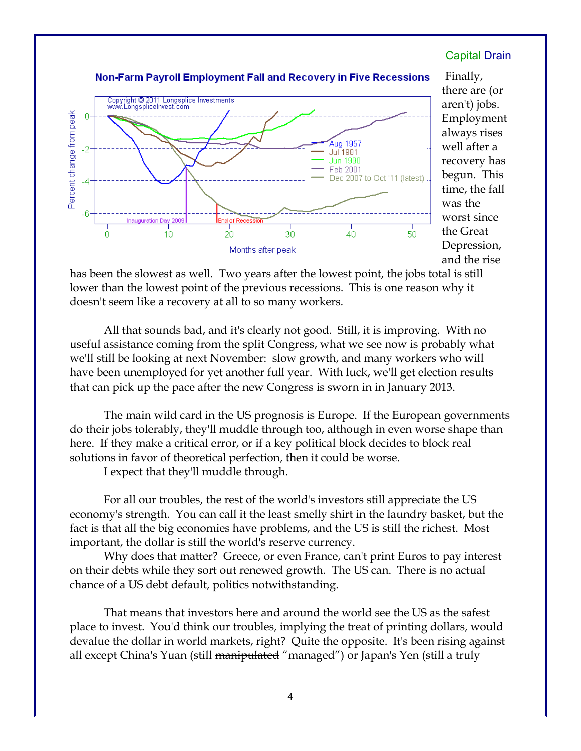#### Copyright @ 2011 Longsplice Investments www.LongspliceInvest.com Percent change from peak 0 Aug 1957 Jul<sup>1</sup>981 **Jun 1990** Feb 2001 Dec 2007 to Oct '11 (latest) Δ 200 Inauduration Dav  $\dot{20}$ 30. 40. 50 Ó  $10<sup>10</sup>$ Months after peak

Capital Drain

Finally, there are (or aren't) jobs. Employment always rises well after a recovery has begun. This time, the fall was the worst since the Great Depression, and the rise

Non-Farm Payroll Employment Fall and Recovery in Five Recessions

has been the slowest as well. Two years after the lowest point, the jobs total is still lower than the lowest point of the previous recessions. This is one reason why it doesn't seem like a recovery at all to so many workers.

All that sounds bad, and it's clearly not good. Still, it is improving. With no useful assistance coming from the split Congress, what we see now is probably what we'll still be looking at next November: slow growth, and many workers who will have been unemployed for yet another full year. With luck, we'll get election results that can pick up the pace after the new Congress is sworn in in January 2013.

The main wild card in the US prognosis is Europe. If the European governments do their jobs tolerably, they'll muddle through too, although in even worse shape than here. If they make a critical error, or if a key political block decides to block real solutions in favor of theoretical perfection, then it could be worse.

I expect that they'll muddle through.

For all our troubles, the rest of the world's investors still appreciate the US economy's strength. You can call it the least smelly shirt in the laundry basket, but the fact is that all the big economies have problems, and the US is still the richest. Most important, the dollar is still the world's reserve currency.

Why does that matter? Greece, or even France, can't print Euros to pay interest on their debts while they sort out renewed growth. The US can. There is no actual chance of a US debt default, politics notwithstanding.

That means that investors here and around the world see the US as the safest place to invest. You'd think our troubles, implying the treat of printing dollars, would devalue the dollar in world markets, right? Quite the opposite. It's been rising against all except China's Yuan (still manipulated "managed") or Japan's Yen (still a truly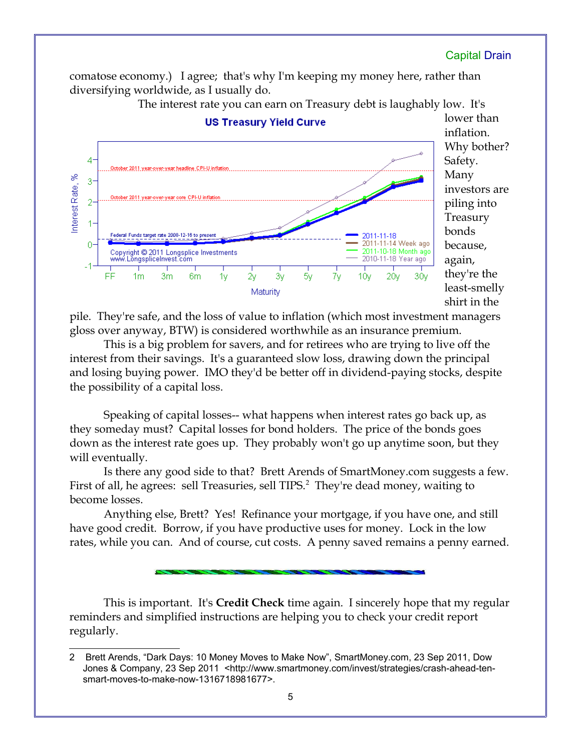comatose economy.) I agree; that's why I'm keeping my money here, rather than diversifying worldwide, as I usually do.



The interest rate you can earn on Treasury debt is laughably low. It's

pile. They're safe, and the loss of value to inflation (which most investment managers gloss over anyway, BTW) is considered worthwhile as an insurance premium.

This is a big problem for savers, and for retirees who are trying to live off the interest from their savings. It's a guaranteed slow loss, drawing down the principal and losing buying power. IMO they'd be better off in dividend-paying stocks, despite the possibility of a capital loss.

Speaking of capital losses-- what happens when interest rates go back up, as they someday must? Capital losses for bond holders. The price of the bonds goes down as the interest rate goes up. They probably won't go up anytime soon, but they will eventually.

Is there any good side to that? Brett Arends of SmartMoney.com suggests a few. First of all, he agrees: sell Treasuries, sell TIPS.<sup>[2](#page-4-0)</sup> They're dead money, waiting to become losses.

Anything else, Brett? Yes! Refinance your mortgage, if you have one, and still have good credit. Borrow, if you have productive uses for money. Lock in the low rates, while you can. And of course, cut costs. A penny saved remains a penny earned.

This is important. It's **Credit Check** time again. I sincerely hope that my regular reminders and simplified instructions are helping you to check your credit report regularly.

<span id="page-4-0"></span><sup>2</sup> Brett Arends, "Dark Days: 10 Money Moves to Make Now", SmartMoney.com, 23 Sep 2011, Dow Jones & Company, 23 Sep 2011 <http://www.smartmoney.com/invest/strategies/crash-ahead-tensmart-moves-to-make-now-1316718981677>.